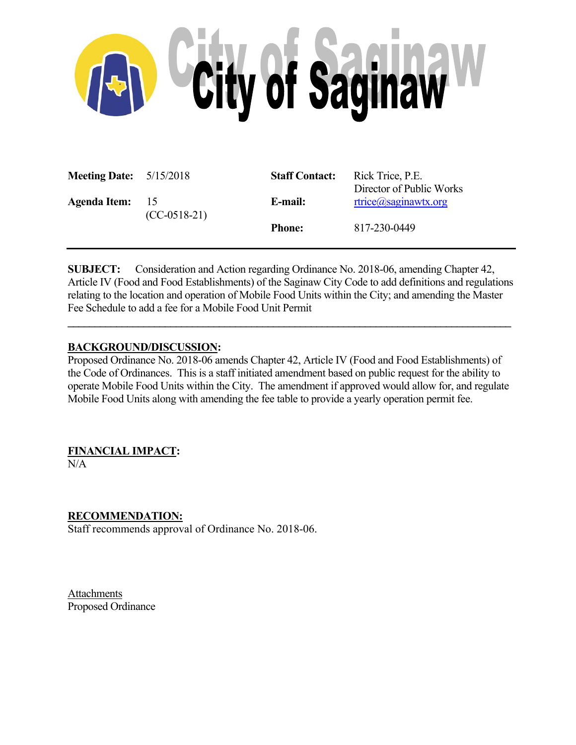

| <b>Meeting Date:</b> $5/15/2018$ |                                   | <b>Staff Contact:</b> | Rick Trice, P.E.<br>Director of Public Works |
|----------------------------------|-----------------------------------|-----------------------|----------------------------------------------|
| <b>Agenda Item:</b>              | $\overline{15}$<br>$(CC-0518-21)$ | E-mail:               | $rtrice$ $@sag$ inawtx.org                   |
|                                  |                                   | <b>Phone:</b>         | 817-230-0449                                 |

**SUBJECT:** Consideration and Action regarding Ordinance No. 2018-06, amending Chapter 42, Article IV (Food and Food Establishments) of the Saginaw City Code to add definitions and regulations relating to the location and operation of Mobile Food Units within the City; and amending the Master Fee Schedule to add a fee for a Mobile Food Unit Permit

**\_\_\_\_\_\_\_\_\_\_\_\_\_\_\_\_\_\_\_\_\_\_\_\_\_\_\_\_\_\_\_\_\_\_\_\_\_\_\_\_\_\_\_\_\_\_\_\_\_\_\_\_\_\_\_\_\_\_\_\_\_\_\_\_\_\_\_\_\_\_\_\_\_\_\_\_\_\_\_\_\_\_**

## **BACKGROUND/DISCUSSION:**

Proposed Ordinance No. 2018-06 amends Chapter 42, Article IV (Food and Food Establishments) of the Code of Ordinances. This is a staff initiated amendment based on public request for the ability to operate Mobile Food Units within the City. The amendment if approved would allow for, and regulate Mobile Food Units along with amending the fee table to provide a yearly operation permit fee.

# **FINANCIAL IMPACT:**

N/A

# **RECOMMENDATION:**

Staff recommends approval of Ordinance No. 2018-06.

Attachments Proposed Ordinance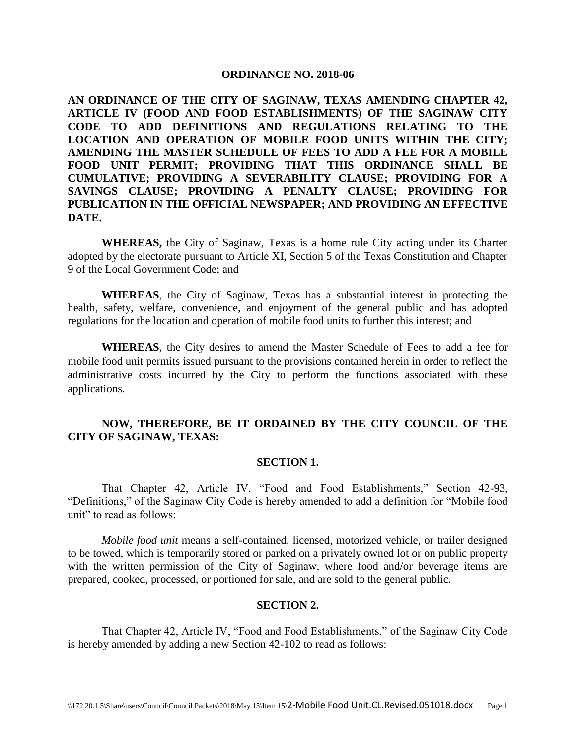#### **ORDINANCE NO. 2018-06**

**AN ORDINANCE OF THE CITY OF SAGINAW, TEXAS AMENDING CHAPTER 42, ARTICLE IV (FOOD AND FOOD ESTABLISHMENTS) OF THE SAGINAW CITY CODE TO ADD DEFINITIONS AND REGULATIONS RELATING TO THE LOCATION AND OPERATION OF MOBILE FOOD UNITS WITHIN THE CITY; AMENDING THE MASTER SCHEDULE OF FEES TO ADD A FEE FOR A MOBILE FOOD UNIT PERMIT; PROVIDING THAT THIS ORDINANCE SHALL BE CUMULATIVE; PROVIDING A SEVERABILITY CLAUSE; PROVIDING FOR A SAVINGS CLAUSE; PROVIDING A PENALTY CLAUSE; PROVIDING FOR PUBLICATION IN THE OFFICIAL NEWSPAPER; AND PROVIDING AN EFFECTIVE DATE.**

**WHEREAS,** the City of Saginaw, Texas is a home rule City acting under its Charter adopted by the electorate pursuant to Article XI, Section 5 of the Texas Constitution and Chapter 9 of the Local Government Code; and

**WHEREAS**, the City of Saginaw, Texas has a substantial interest in protecting the health, safety, welfare, convenience, and enjoyment of the general public and has adopted regulations for the location and operation of mobile food units to further this interest; and

**WHEREAS**, the City desires to amend the Master Schedule of Fees to add a fee for mobile food unit permits issued pursuant to the provisions contained herein in order to reflect the administrative costs incurred by the City to perform the functions associated with these applications.

## **NOW, THEREFORE, BE IT ORDAINED BY THE CITY COUNCIL OF THE CITY OF SAGINAW, TEXAS:**

#### **SECTION 1.**

That Chapter 42, Article IV, "Food and Food Establishments," Section 42-93, "Definitions," of the Saginaw City Code is hereby amended to add a definition for "Mobile food unit" to read as follows:

*Mobile food unit* means a self-contained, licensed, motorized vehicle, or trailer designed to be towed, which is temporarily stored or parked on a privately owned lot or on public property with the written permission of the City of Saginaw, where food and/or beverage items are prepared, cooked, processed, or portioned for sale, and are sold to the general public.

## **SECTION 2.**

That Chapter 42, Article IV, "Food and Food Establishments," of the Saginaw City Code is hereby amended by adding a new Section 42-102 to read as follows: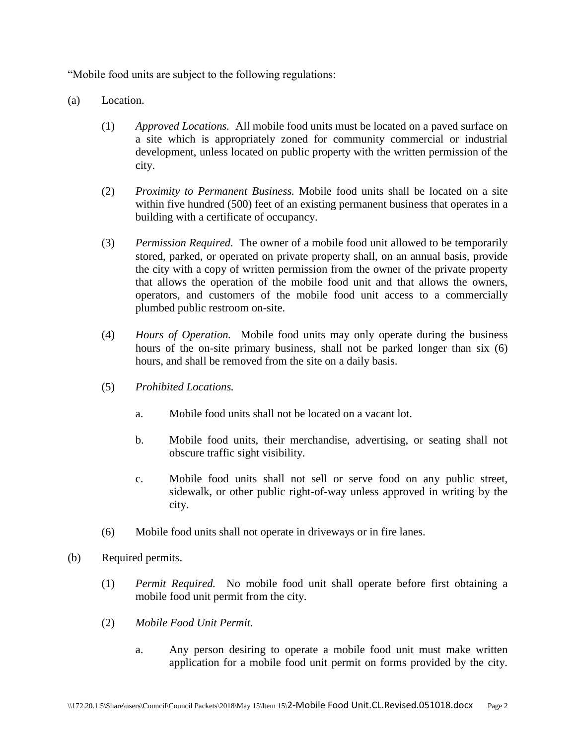"Mobile food units are subject to the following regulations:

- (a) Location.
	- (1) *Approved Locations.* All mobile food units must be located on a paved surface on a site which is appropriately zoned for community commercial or industrial development, unless located on public property with the written permission of the city.
	- (2) *Proximity to Permanent Business.* Mobile food units shall be located on a site within five hundred (500) feet of an existing permanent business that operates in a building with a certificate of occupancy.
	- (3) *Permission Required.* The owner of a mobile food unit allowed to be temporarily stored, parked, or operated on private property shall, on an annual basis, provide the city with a copy of written permission from the owner of the private property that allows the operation of the mobile food unit and that allows the owners, operators, and customers of the mobile food unit access to a commercially plumbed public restroom on-site.
	- (4) *Hours of Operation.* Mobile food units may only operate during the business hours of the on-site primary business, shall not be parked longer than six (6) hours, and shall be removed from the site on a daily basis.
	- (5) *Prohibited Locations.*
		- a. Mobile food units shall not be located on a vacant lot.
		- b. Mobile food units, their merchandise, advertising, or seating shall not obscure traffic sight visibility.
		- c. Mobile food units shall not sell or serve food on any public street, sidewalk, or other public right-of-way unless approved in writing by the city.
	- (6) Mobile food units shall not operate in driveways or in fire lanes.
- (b) Required permits.
	- (1) *Permit Required.* No mobile food unit shall operate before first obtaining a mobile food unit permit from the city.
	- (2) *Mobile Food Unit Permit.*
		- a. Any person desiring to operate a mobile food unit must make written application for a mobile food unit permit on forms provided by the city.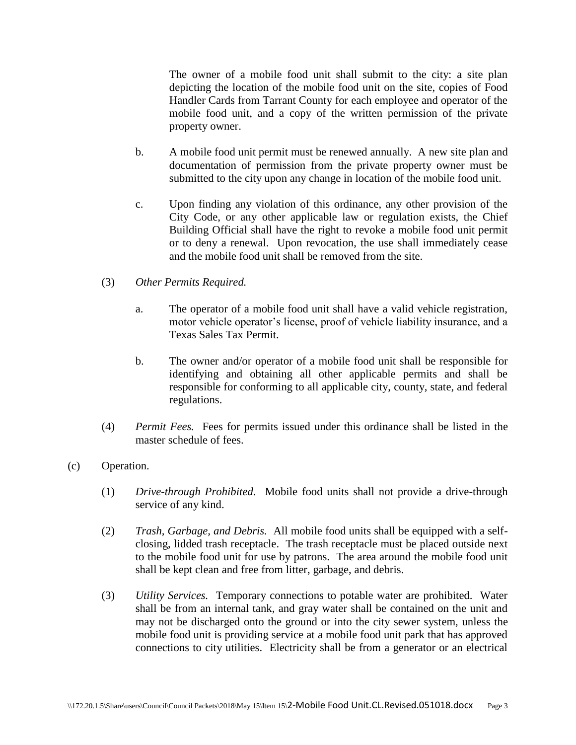The owner of a mobile food unit shall submit to the city: a site plan depicting the location of the mobile food unit on the site, copies of Food Handler Cards from Tarrant County for each employee and operator of the mobile food unit, and a copy of the written permission of the private property owner.

- b. A mobile food unit permit must be renewed annually. A new site plan and documentation of permission from the private property owner must be submitted to the city upon any change in location of the mobile food unit.
- c. Upon finding any violation of this ordinance, any other provision of the City Code, or any other applicable law or regulation exists, the Chief Building Official shall have the right to revoke a mobile food unit permit or to deny a renewal. Upon revocation, the use shall immediately cease and the mobile food unit shall be removed from the site.
- (3) *Other Permits Required.*
	- a. The operator of a mobile food unit shall have a valid vehicle registration, motor vehicle operator's license, proof of vehicle liability insurance, and a Texas Sales Tax Permit.
	- b. The owner and/or operator of a mobile food unit shall be responsible for identifying and obtaining all other applicable permits and shall be responsible for conforming to all applicable city, county, state, and federal regulations.
- (4) *Permit Fees.* Fees for permits issued under this ordinance shall be listed in the master schedule of fees.
- (c) Operation.
	- (1) *Drive-through Prohibited.* Mobile food units shall not provide a drive-through service of any kind.
	- (2) *Trash, Garbage, and Debris.* All mobile food units shall be equipped with a selfclosing, lidded trash receptacle. The trash receptacle must be placed outside next to the mobile food unit for use by patrons. The area around the mobile food unit shall be kept clean and free from litter, garbage, and debris.
	- (3) *Utility Services.* Temporary connections to potable water are prohibited. Water shall be from an internal tank, and gray water shall be contained on the unit and may not be discharged onto the ground or into the city sewer system, unless the mobile food unit is providing service at a mobile food unit park that has approved connections to city utilities. Electricity shall be from a generator or an electrical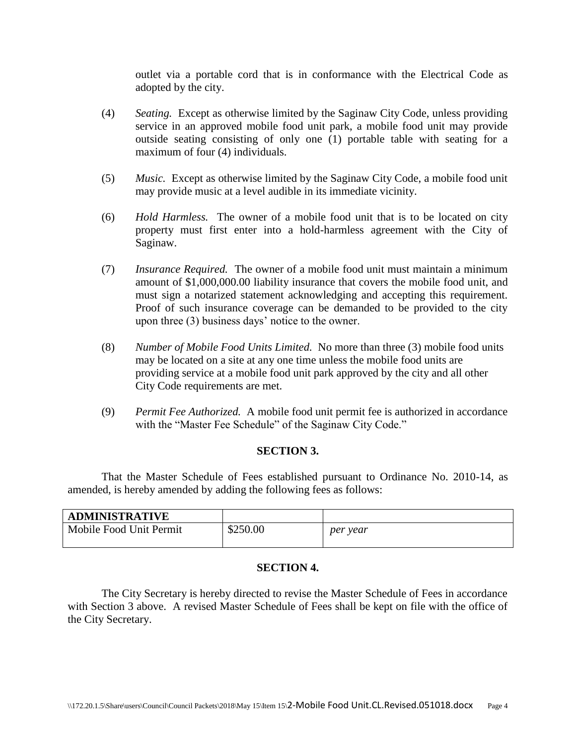outlet via a portable cord that is in conformance with the Electrical Code as adopted by the city.

- (4) *Seating.* Except as otherwise limited by the Saginaw City Code, unless providing service in an approved mobile food unit park, a mobile food unit may provide outside seating consisting of only one (1) portable table with seating for a maximum of four (4) individuals.
- (5) *Music.* Except as otherwise limited by the Saginaw City Code, a mobile food unit may provide music at a level audible in its immediate vicinity.
- (6) *Hold Harmless.* The owner of a mobile food unit that is to be located on city property must first enter into a hold-harmless agreement with the City of Saginaw.
- (7) *Insurance Required.* The owner of a mobile food unit must maintain a minimum amount of \$1,000,000.00 liability insurance that covers the mobile food unit, and must sign a notarized statement acknowledging and accepting this requirement. Proof of such insurance coverage can be demanded to be provided to the city upon three (3) business days' notice to the owner.
- (8) *Number of Mobile Food Units Limited.* No more than three (3) mobile food units may be located on a site at any one time unless the mobile food units are providing service at a mobile food unit park approved by the city and all other City Code requirements are met.
- (9) *Permit Fee Authorized.* A mobile food unit permit fee is authorized in accordance with the "Master Fee Schedule" of the Saginaw City Code."

## **SECTION 3.**

That the Master Schedule of Fees established pursuant to Ordinance No. 2010-14, as amended, is hereby amended by adding the following fees as follows:

| <b>ADMINISTRATIVE</b>   |          |          |
|-------------------------|----------|----------|
| Mobile Food Unit Permit | \$250.00 | per year |

## **SECTION 4.**

The City Secretary is hereby directed to revise the Master Schedule of Fees in accordance with Section 3 above. A revised Master Schedule of Fees shall be kept on file with the office of the City Secretary.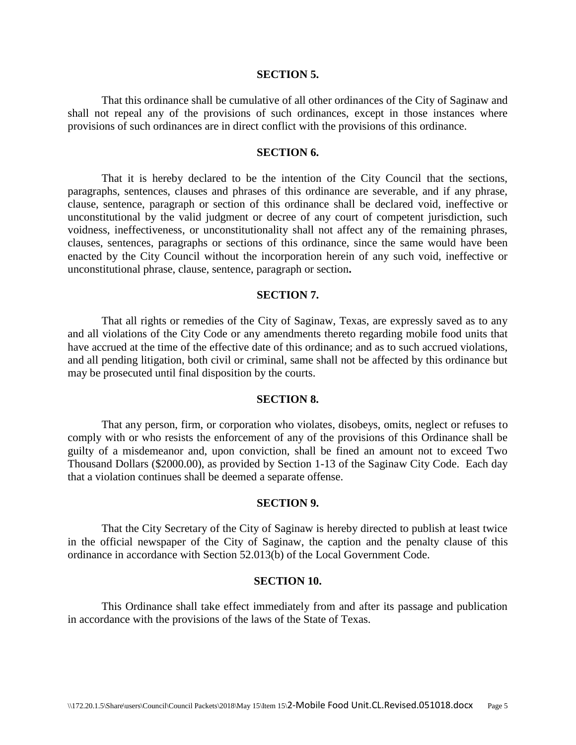#### **SECTION 5.**

That this ordinance shall be cumulative of all other ordinances of the City of Saginaw and shall not repeal any of the provisions of such ordinances, except in those instances where provisions of such ordinances are in direct conflict with the provisions of this ordinance.

#### **SECTION 6.**

That it is hereby declared to be the intention of the City Council that the sections, paragraphs, sentences, clauses and phrases of this ordinance are severable, and if any phrase, clause, sentence, paragraph or section of this ordinance shall be declared void, ineffective or unconstitutional by the valid judgment or decree of any court of competent jurisdiction, such voidness, ineffectiveness, or unconstitutionality shall not affect any of the remaining phrases, clauses, sentences, paragraphs or sections of this ordinance, since the same would have been enacted by the City Council without the incorporation herein of any such void, ineffective or unconstitutional phrase, clause, sentence, paragraph or section**.**

## **SECTION 7.**

That all rights or remedies of the City of Saginaw, Texas, are expressly saved as to any and all violations of the City Code or any amendments thereto regarding mobile food units that have accrued at the time of the effective date of this ordinance; and as to such accrued violations, and all pending litigation, both civil or criminal, same shall not be affected by this ordinance but may be prosecuted until final disposition by the courts.

### **SECTION 8.**

That any person, firm, or corporation who violates, disobeys, omits, neglect or refuses to comply with or who resists the enforcement of any of the provisions of this Ordinance shall be guilty of a misdemeanor and, upon conviction, shall be fined an amount not to exceed Two Thousand Dollars (\$2000.00), as provided by Section 1-13 of the Saginaw City Code. Each day that a violation continues shall be deemed a separate offense.

#### **SECTION 9.**

That the City Secretary of the City of Saginaw is hereby directed to publish at least twice in the official newspaper of the City of Saginaw, the caption and the penalty clause of this ordinance in accordance with Section 52.013(b) of the Local Government Code.

#### **SECTION 10.**

This Ordinance shall take effect immediately from and after its passage and publication in accordance with the provisions of the laws of the State of Texas.